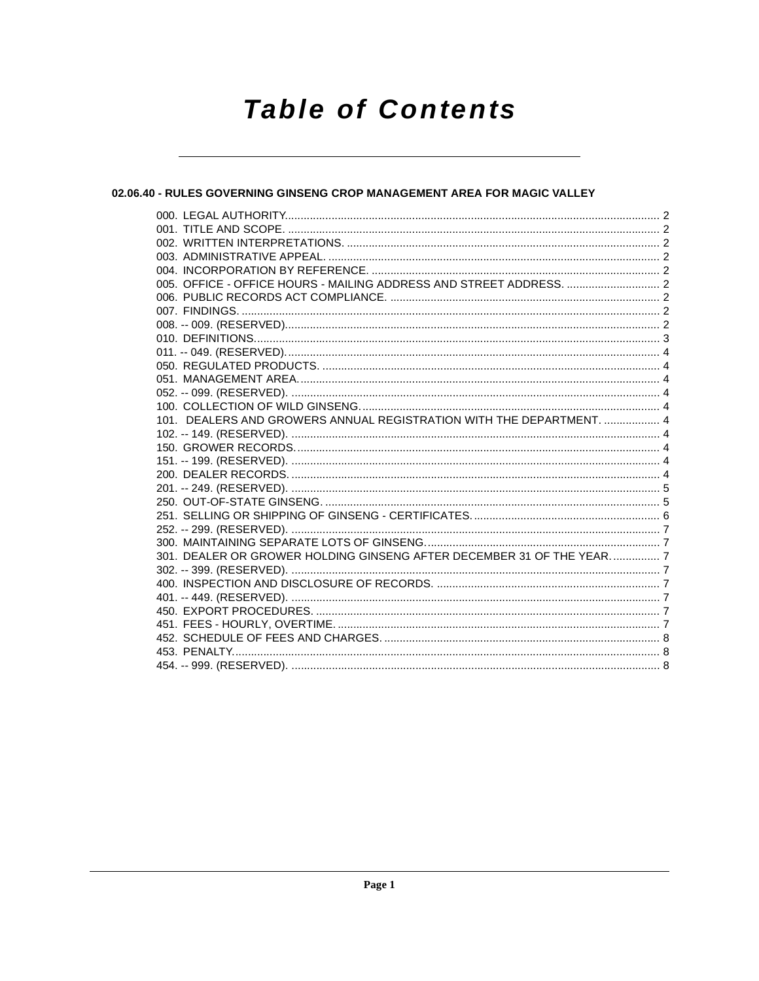# **Table of Contents**

# 02.06.40 - RULES GOVERNING GINSENG CROP MANAGEMENT AREA FOR MAGIC VALLEY

| 005. OFFICE - OFFICE HOURS - MAILING ADDRESS AND STREET ADDRESS.  2   |  |
|-----------------------------------------------------------------------|--|
|                                                                       |  |
|                                                                       |  |
|                                                                       |  |
|                                                                       |  |
|                                                                       |  |
|                                                                       |  |
|                                                                       |  |
|                                                                       |  |
|                                                                       |  |
| 101. DEALERS AND GROWERS ANNUAL REGISTRATION WITH THE DEPARTMENT.  4  |  |
|                                                                       |  |
|                                                                       |  |
|                                                                       |  |
|                                                                       |  |
|                                                                       |  |
|                                                                       |  |
|                                                                       |  |
|                                                                       |  |
|                                                                       |  |
| 301. DEALER OR GROWER HOLDING GINSENG AFTER DECEMBER 31 OF THE YEAR 7 |  |
|                                                                       |  |
|                                                                       |  |
|                                                                       |  |
|                                                                       |  |
|                                                                       |  |
|                                                                       |  |
|                                                                       |  |
|                                                                       |  |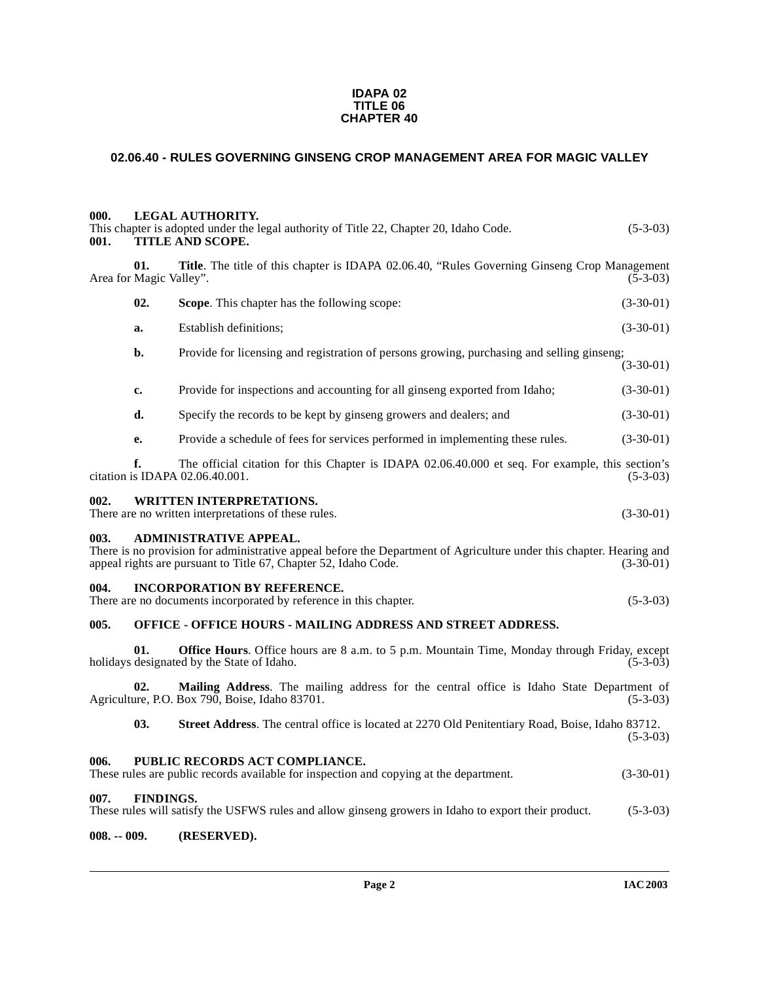#### **IDAPA 02 TITLE 06 CHAPTER 40**

# <span id="page-1-0"></span>**02.06.40 - RULES GOVERNING GINSENG CROP MANAGEMENT AREA FOR MAGIC VALLEY**

<span id="page-1-3"></span><span id="page-1-2"></span><span id="page-1-1"></span>

| 000.<br>001. |                                | <b>LEGAL AUTHORITY.</b><br>This chapter is adopted under the legal authority of Title 22, Chapter 20, Idaho Code.<br>TITLE AND SCOPE.                                                                                    | $(5-3-03)$  |
|--------------|--------------------------------|--------------------------------------------------------------------------------------------------------------------------------------------------------------------------------------------------------------------------|-------------|
|              | 01.<br>Area for Magic Valley". | Title. The title of this chapter is IDAPA 02.06.40, "Rules Governing Ginseng Crop Management                                                                                                                             | $(5-3-03)$  |
|              | 02.                            | Scope. This chapter has the following scope:                                                                                                                                                                             | $(3-30-01)$ |
|              | a.                             | Establish definitions;                                                                                                                                                                                                   | $(3-30-01)$ |
|              | b.                             | Provide for licensing and registration of persons growing, purchasing and selling ginseng;                                                                                                                               | $(3-30-01)$ |
|              | c.                             | Provide for inspections and accounting for all ginseng exported from Idaho;                                                                                                                                              | $(3-30-01)$ |
|              | d.                             | Specify the records to be kept by ginseng growers and dealers; and                                                                                                                                                       | $(3-30-01)$ |
|              | e.                             | Provide a schedule of fees for services performed in implementing these rules.                                                                                                                                           | $(3-30-01)$ |
|              | f.                             | The official citation for this Chapter is IDAPA 02.06.40.000 et seq. For example, this section's<br>citation is IDAPA 02.06.40.001.                                                                                      | $(5-3-03)$  |
| 002.         |                                | <b>WRITTEN INTERPRETATIONS.</b><br>There are no written interpretations of these rules.                                                                                                                                  | $(3-30-01)$ |
| 003.         |                                | <b>ADMINISTRATIVE APPEAL.</b><br>There is no provision for administrative appeal before the Department of Agriculture under this chapter. Hearing and<br>appeal rights are pursuant to Title 67, Chapter 52, Idaho Code. | $(3-30-01)$ |
| 004.         |                                | <b>INCORPORATION BY REFERENCE.</b><br>There are no documents incorporated by reference in this chapter.                                                                                                                  | $(5-3-03)$  |
| 005.         |                                | <b>OFFICE - OFFICE HOURS - MAILING ADDRESS AND STREET ADDRESS.</b>                                                                                                                                                       |             |
|              | 01.                            | <b>Office Hours.</b> Office hours are 8 a.m. to 5 p.m. Mountain Time, Monday through Friday, except<br>holidays designated by the State of Idaho.                                                                        | $(5-3-03)$  |
|              | 02.                            | Mailing Address. The mailing address for the central office is Idaho State Department of<br>Agriculture, P.O. Box 790, Boise, Idaho 83701.                                                                               | $(5-3-03)$  |
|              | 03.                            | Street Address. The central office is located at 2270 Old Penitentiary Road, Boise, Idaho 83712.                                                                                                                         | $(5-3-03)$  |
| 006.         |                                | PUBLIC RECORDS ACT COMPLIANCE.<br>These rules are public records available for inspection and copying at the department.                                                                                                 | $(3-30-01)$ |
| 007.         | <b>FINDINGS.</b>               | These rules will satisfy the USFWS rules and allow ginseng growers in Idaho to export their product.                                                                                                                     | $(5-3-03)$  |

# <span id="page-1-9"></span><span id="page-1-8"></span><span id="page-1-7"></span><span id="page-1-6"></span><span id="page-1-5"></span><span id="page-1-4"></span>**008. -- 009. (RESERVED).**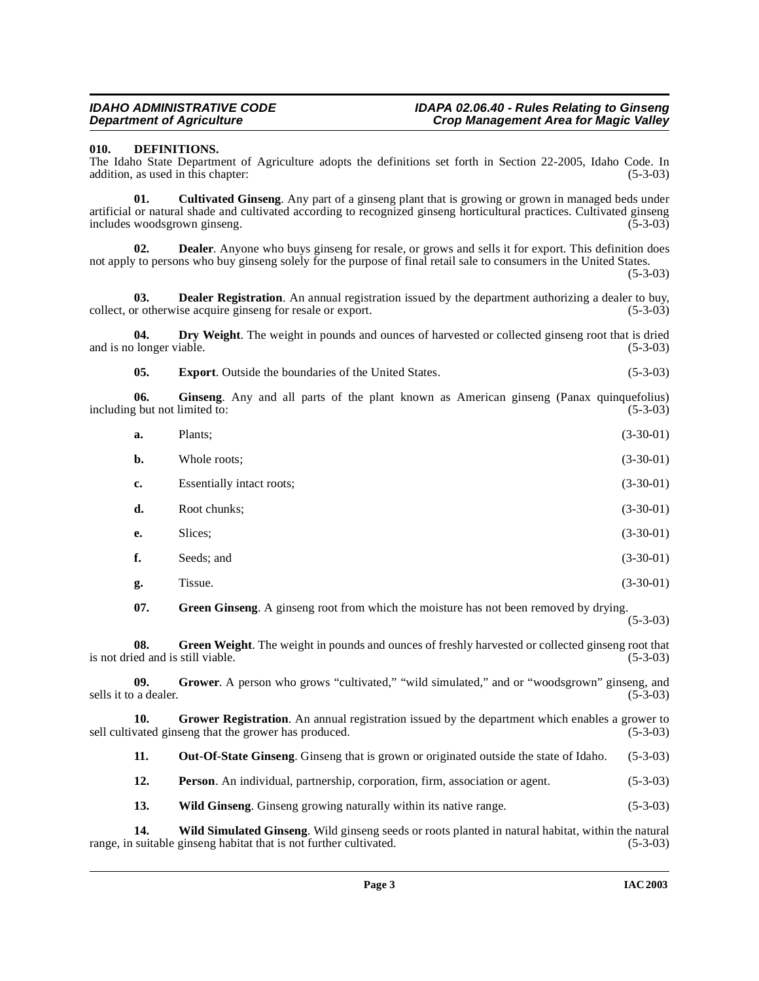#### <span id="page-2-4"></span><span id="page-2-0"></span>**010. DEFINITIONS.**

The Idaho State Department of Agriculture adopts the definitions set forth in Section 22-2005, Idaho Code. In addition, as used in this chapter: (5-3-03) addition, as used in this chapter:

<span id="page-2-1"></span>**01. Cultivated Ginseng**. Any part of a ginseng plant that is growing or grown in managed beds under artificial or natural shade and cultivated according to recognized ginseng horticultural practices. Cultivated ginseng includes woodsgrown ginseng.

<span id="page-2-3"></span>**02. Dealer**. Anyone who buys ginseng for resale, or grows and sells it for export. This definition does not apply to persons who buy ginseng solely for the purpose of final retail sale to consumers in the United States.

(5-3-03)

<span id="page-2-2"></span>**03. Dealer Registration**. An annual registration issued by the department authorizing a dealer to buy, or otherwise acquire ginseng for resale or export. (5-3-03) collect, or otherwise acquire ginseng for resale or export.

**04. Dry Weight**. The weight in pounds and ounces of harvested or collected ginseng root that is dried (5-3-03) and is no longer viable.

<span id="page-2-6"></span><span id="page-2-5"></span>**05. Export**. Outside the boundaries of the United States. (5-3-03)

**06.** Ginseng. Any and all parts of the plant known as American ginseng (Panax quinquefolius) g but not limited to: (5-3-03) including but not limited to:

| a.  | Plants:                                                                               | $(3-30-01)$ |
|-----|---------------------------------------------------------------------------------------|-------------|
| b.  | Whole roots:                                                                          | $(3-30-01)$ |
| c.  | Essentially intact roots;                                                             | $(3-30-01)$ |
| d.  | Root chunks:                                                                          | $(3-30-01)$ |
| e.  | Slices;                                                                               | $(3-30-01)$ |
| f.  | Seeds; and                                                                            | $(3-30-01)$ |
| g.  | Tissue.                                                                               | $(3-30-01)$ |
| 07. | Green Ginseng. A ginseng root from which the moisture has not been removed by drying. | $(5-3-03)$  |

<span id="page-2-8"></span><span id="page-2-7"></span>**08.** Green Weight. The weight in pounds and ounces of freshly harvested or collected ginseng root that ed and is still viable. (5-3-03) is not dried and is still viable.

<span id="page-2-10"></span>**09.** Grower. A person who grows "cultivated," "wild simulated," and or "woodsgrown" ginseng, and a dealer. (5-3-03) sells it to a dealer.

**10.** Grower Registration. An annual registration issued by the department which enables a grower to sell cultivated ginseng that the grower has produced. (5-3-03)

<span id="page-2-9"></span>**11. Out-Of-State Ginseng**. Ginseng that is grown or originated outside the state of Idaho. (5-3-03)

**12. Person**. An individual, partnership, corporation, firm, association or agent. (5-3-03)

<span id="page-2-12"></span><span id="page-2-11"></span>**13. Wild Ginseng**. Ginseng growing naturally within its native range. (5-3-03)

**14. Wild Simulated Ginseng**. Wild ginseng seeds or roots planted in natural habitat, within the natural suitable ginseng habitat that is not further cultivated. (5-3-03) range, in suitable ginseng habitat that is not further cultivated.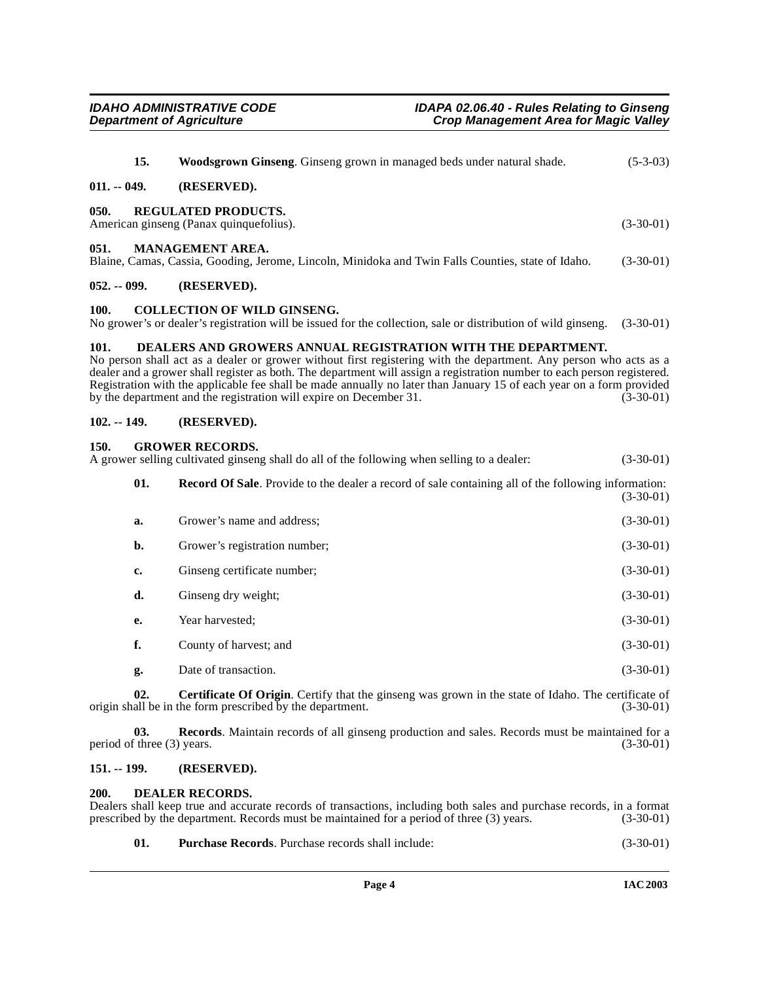<span id="page-3-18"></span><span id="page-3-17"></span><span id="page-3-15"></span><span id="page-3-2"></span><span id="page-3-1"></span><span id="page-3-0"></span>

| 15.                                                                                                                                                                                                                                                                                                                  | <b>Woodsgrown Ginseng.</b> Ginseng grown in managed beds under natural shade.                                                 | $(5-3-03)$  |  |
|----------------------------------------------------------------------------------------------------------------------------------------------------------------------------------------------------------------------------------------------------------------------------------------------------------------------|-------------------------------------------------------------------------------------------------------------------------------|-------------|--|
| $011. - 049.$                                                                                                                                                                                                                                                                                                        | (RESERVED).                                                                                                                   |             |  |
| 050.                                                                                                                                                                                                                                                                                                                 | <b>REGULATED PRODUCTS.</b><br>American ginseng (Panax quinque folius).                                                        | $(3-30-01)$ |  |
| 051.                                                                                                                                                                                                                                                                                                                 | <b>MANAGEMENT AREA.</b><br>Blaine, Camas, Cassia, Gooding, Jerome, Lincoln, Minidoka and Twin Falls Counties, state of Idaho. | $(3-30-01)$ |  |
| $052. - 099.$                                                                                                                                                                                                                                                                                                        | (RESERVED).                                                                                                                   |             |  |
| <b>COLLECTION OF WILD GINSENG.</b><br>100.<br>No grower's or dealer's registration will be issued for the collection, sale or distribution of wild ginseng.<br>$(3-30-01)$                                                                                                                                           |                                                                                                                               |             |  |
| DEALERS AND GROWERS ANNUAL REGISTRATION WITH THE DEPARTMENT.<br>101.<br>No person shall act as a dealer or grower without first registering with the department. Any person who acts as a<br>dealer and a grower shall register as both. The department will assign a registration number to each person registered. |                                                                                                                               |             |  |

# <span id="page-3-13"></span><span id="page-3-11"></span><span id="page-3-5"></span><span id="page-3-4"></span><span id="page-3-3"></span>Registration with the applicable fee shall be made annually no later than January 15 of each year on a form provided<br>by the department and the registration will expire on December 31.  $(3-30-01)$ by the department and the registration will expire on December 31.

#### <span id="page-3-6"></span>**102. -- 149. (RESERVED).**

#### <span id="page-3-7"></span>**150. GROWER RECORDS.**

A grower selling cultivated ginseng shall do all of the following when selling to a dealer: (3-30-01)

<span id="page-3-14"></span>

| 01. | <b>Record Of Sale</b> . Provide to the dealer a record of sale containing all of the following information:<br>$(3-30-01)$ |             |
|-----|----------------------------------------------------------------------------------------------------------------------------|-------------|
| a.  | Grower's name and address;                                                                                                 | $(3-30-01)$ |
| b.  | Grower's registration number;                                                                                              | $(3-30-01)$ |
| c.  | Ginseng certificate number;                                                                                                | $(3-30-01)$ |
| d.  | Ginseng dry weight;                                                                                                        | $(3-30-01)$ |
| e.  | Year harvested;                                                                                                            | $(3-30-01)$ |
| f.  | County of harvest; and                                                                                                     | $(3-30-01)$ |
| g.  | Date of transaction.                                                                                                       | $(3-30-01)$ |

<span id="page-3-10"></span>**02. Certificate Of Origin**. Certify that the ginseng was grown in the state of Idaho. The certificate of all be in the form prescribed by the department. (3-30-01) origin shall be in the form prescribed by the department.

**03. Records**. Maintain records of all ginseng production and sales. Records must be maintained for a (3-30-01) (3-30-01) period of three  $(3)$  years.

#### <span id="page-3-8"></span>**151. -- 199. (RESERVED).**

#### <span id="page-3-12"></span><span id="page-3-9"></span>**200. DEALER RECORDS.**

| Dealers shall keep true and accurate records of transactions, including both sales and purchase records, in a format |             |
|----------------------------------------------------------------------------------------------------------------------|-------------|
| prescribed by the department. Records must be maintained for a period of three (3) years.                            | $(3-30-01)$ |

<span id="page-3-16"></span>

| 01. | <b>Purchase Records.</b> Purchase records shall include: | $(3-30-01)$ |
|-----|----------------------------------------------------------|-------------|
|-----|----------------------------------------------------------|-------------|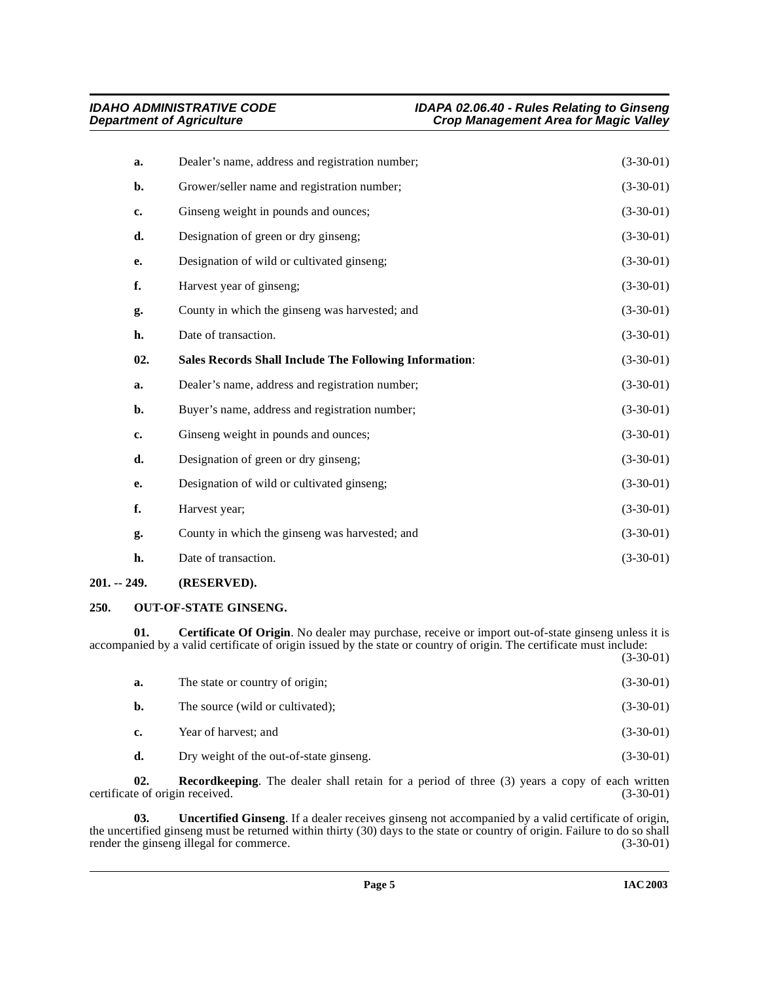<span id="page-4-5"></span>

| a.  | Dealer's name, address and registration number;               | $(3-30-01)$ |
|-----|---------------------------------------------------------------|-------------|
| b.  | Grower/seller name and registration number;                   | $(3-30-01)$ |
| c.  | Ginseng weight in pounds and ounces;                          | $(3-30-01)$ |
| d.  | Designation of green or dry ginseng;                          | $(3-30-01)$ |
| e.  | Designation of wild or cultivated ginseng;                    | $(3-30-01)$ |
| f.  | Harvest year of ginseng;                                      | $(3-30-01)$ |
| g.  | County in which the ginseng was harvested; and                | $(3-30-01)$ |
| h.  | Date of transaction.                                          | $(3-30-01)$ |
| 02. | <b>Sales Records Shall Include The Following Information:</b> | $(3-30-01)$ |
| a.  | Dealer's name, address and registration number;               | $(3-30-01)$ |
| b.  | Buyer's name, address and registration number;                | $(3-30-01)$ |
| c.  | Ginseng weight in pounds and ounces;                          | $(3-30-01)$ |
| d.  | Designation of green or dry ginseng;                          | $(3-30-01)$ |
| e.  | Designation of wild or cultivated ginseng;                    | $(3-30-01)$ |
| f.  | Harvest year;                                                 | $(3-30-01)$ |
| g.  | County in which the ginseng was harvested; and                | $(3-30-01)$ |
| h.  | Date of transaction.                                          | $(3-30-01)$ |

## <span id="page-4-0"></span>**201. -- 249. (RESERVED).**

## <span id="page-4-3"></span><span id="page-4-1"></span>**250. OUT-OF-STATE GINSENG.**

**01. Certificate Of Origin**. No dealer may purchase, receive or import out-of-state ginseng unless it is accompanied by a valid certificate of origin issued by the state or country of origin. The certificate must include: (3-30-01)

<span id="page-4-2"></span>

| a.          | The state or country of origin;         | $(3-30-01)$ |
|-------------|-----------------------------------------|-------------|
| b.          | The source (wild or cultivated);        | $(3-30-01)$ |
| $c_{\cdot}$ | Year of harvest; and                    | $(3-30-01)$ |
| d.          | Dry weight of the out-of-state ginseng. | $(3-30-01)$ |

<span id="page-4-4"></span>**02.** Recordkeeping. The dealer shall retain for a period of three (3) years a copy of each written certificate of origin received. (3-30-01)

<span id="page-4-6"></span>**03. Uncertified Ginseng**. If a dealer receives ginseng not accompanied by a valid certificate of origin, the uncertified ginseng must be returned within thirty (30) days to the state or country of origin. Failure to do so shall<br>render the ginseng illegal for commerce. (3-30-01) render the ginseng illegal for commerce.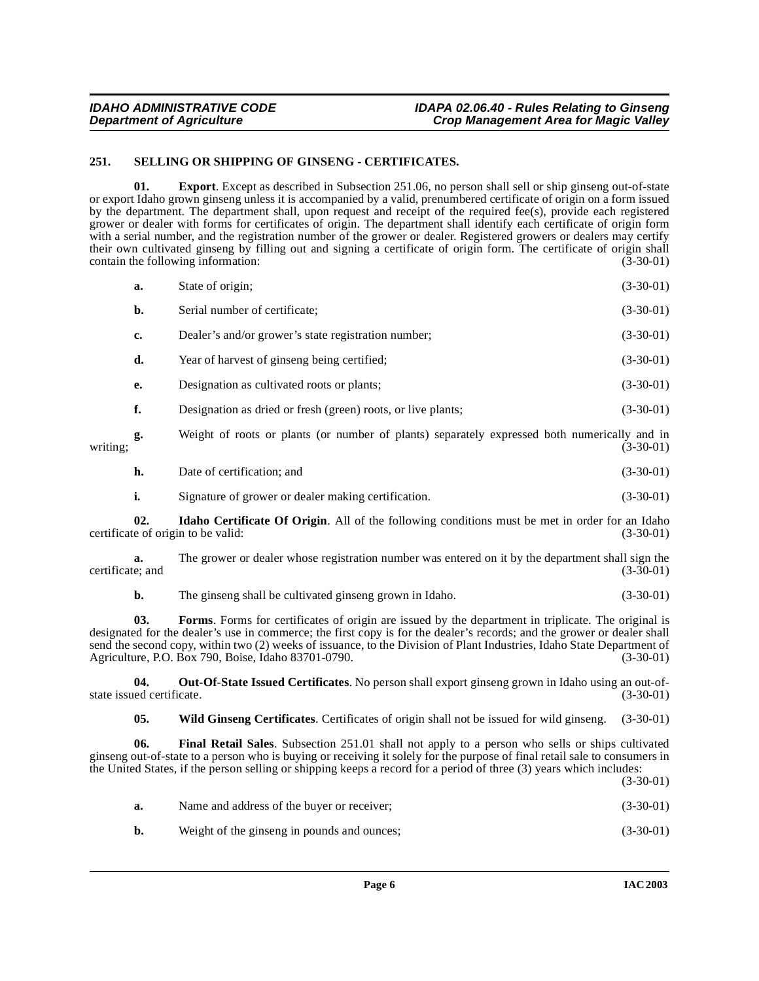## <span id="page-5-5"></span><span id="page-5-0"></span>**251. SELLING OR SHIPPING OF GINSENG - CERTIFICATES.**

<span id="page-5-1"></span>**01. Export**. Except as described in Subsection 251.06, no person shall sell or ship ginseng out-of-state or export Idaho grown ginseng unless it is accompanied by a valid, prenumbered certificate of origin on a form issued by the department. The department shall, upon request and receipt of the required fee(s), provide each registered grower or dealer with forms for certificates of origin. The department shall identify each certificate of origin form with a serial number, and the registration number of the grower or dealer. Registered growers or dealers may certify their own cultivated ginseng by filling out and signing a certificate of origin form. The certificate of origin shall contain the following information: (3-30-01)

|                  | a.  | State of origin;                                                                                                                            | $(3-30-01)$ |
|------------------|-----|---------------------------------------------------------------------------------------------------------------------------------------------|-------------|
|                  | b.  | Serial number of certificate;                                                                                                               | $(3-30-01)$ |
|                  | c.  | Dealer's and/or grower's state registration number;                                                                                         | $(3-30-01)$ |
|                  | d.  | Year of harvest of ginseng being certified;                                                                                                 | $(3-30-01)$ |
|                  | e.  | Designation as cultivated roots or plants;                                                                                                  | $(3-30-01)$ |
|                  | f.  | Designation as dried or fresh (green) roots, or live plants;                                                                                | $(3-30-01)$ |
| writing:         | g.  | Weight of roots or plants (or number of plants) separately expressed both numerically and in                                                | $(3-30-01)$ |
|                  | h.  | Date of certification; and                                                                                                                  | $(3-30-01)$ |
|                  | i.  | Signature of grower or dealer making certification.                                                                                         | $(3-30-01)$ |
|                  | 02. | <b>Idaho Certificate Of Origin.</b> All of the following conditions must be met in order for an Idaho<br>certificate of origin to be valid: | $(3-30-01)$ |
| certificate; and | a.  | The grower or dealer whose registration number was entered on it by the department shall sign the                                           | $(3-30-01)$ |
|                  | b.  | The ginseng shall be cultivated ginseng grown in Idaho.                                                                                     | $(3-30-01)$ |

<span id="page-5-3"></span>**03. Forms**. Forms for certificates of origin are issued by the department in triplicate. The original is designated for the dealer's use in commerce; the first copy is for the dealer's records; and the grower or dealer shall send the second copy, within two (2) weeks of issuance, to the Division of Plant Industries, Idaho State Department of Agriculture, P.O. Box 790, Boise, Idaho 83701-0790. (3-30-01)

**04. Out-Of-State Issued Certificates**. No person shall export ginseng grown in Idaho using an out-ofstate issued certificate.

<span id="page-5-6"></span><span id="page-5-4"></span><span id="page-5-2"></span>**05. Wild Ginseng Certificates**. Certificates of origin shall not be issued for wild ginseng. (3-30-01)

**06. Final Retail Sales**. Subsection 251.01 shall not apply to a person who sells or ships cultivated ginseng out-of-state to a person who is buying or receiving it solely for the purpose of final retail sale to consumers in the United States, if the person selling or shipping keeps a record for a period of three (3) years which includes:

(3-30-01)

| а. | Name and address of the buyer or receiver;  | $(3-30-01)$ |
|----|---------------------------------------------|-------------|
| b. | Weight of the ginseng in pounds and ounces; | $(3-30-01)$ |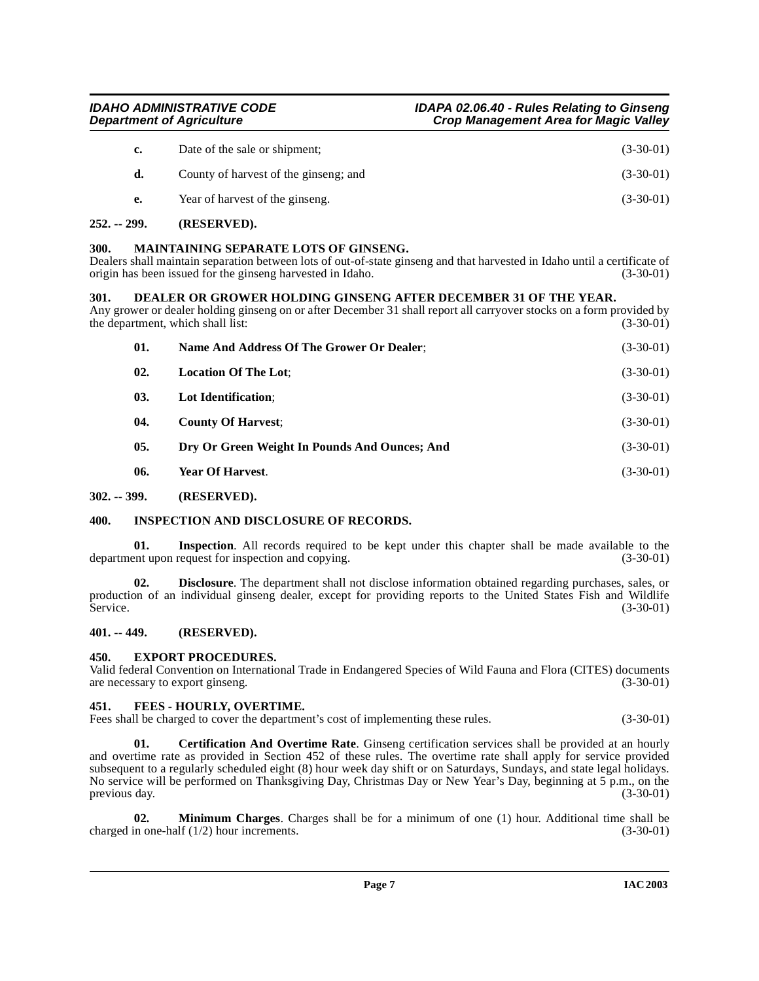| е. | Year of harvest of the ginseng.       | $(3-30-01)$ |
|----|---------------------------------------|-------------|
| d. | County of harvest of the ginseng; and | $(3-30-01)$ |
| c. | Date of the sale or shipment;         | $(3-30-01)$ |
|    |                                       |             |

# <span id="page-6-0"></span>**252. -- 299. (RESERVED).**

## <span id="page-6-13"></span><span id="page-6-1"></span>**300. MAINTAINING SEPARATE LOTS OF GINSENG.**

Dealers shall maintain separation between lots of out-of-state ginseng and that harvested in Idaho until a certificate of origin has been issued for the ginseng harvested in Idaho. (3-30-01)

#### <span id="page-6-9"></span><span id="page-6-2"></span>**301. DEALER OR GROWER HOLDING GINSENG AFTER DECEMBER 31 OF THE YEAR.**

Any grower or dealer holding ginseng on or after December 31 shall report all carryover stocks on a form provided by the department, which shall list: (3-30-01)

| 01.            | Name And Address Of The Grower Or Dealer;     | $(3-30-01)$ |
|----------------|-----------------------------------------------|-------------|
| 02.            | <b>Location Of The Lot:</b>                   | $(3-30-01)$ |
| 03.            | Lot Identification;                           | $(3-30-01)$ |
| 04.            | <b>County Of Harvest:</b>                     | $(3-30-01)$ |
| 0 <sub>5</sub> | Dry Or Green Weight In Pounds And Ounces; And | $(3-30-01)$ |
| 06.            | Year Of Harvest.                              | $(3-30-01)$ |
| $302. - 399.$  | (RESERVED).                                   |             |

## <span id="page-6-12"></span><span id="page-6-4"></span><span id="page-6-3"></span>**400. INSPECTION AND DISCLOSURE OF RECORDS.**

**01.** Inspection. All records required to be kept under this chapter shall be made available to the ent upon request for inspection and copying. (3-30-01) department upon request for inspection and copying.

**02. Disclosure**. The department shall not disclose information obtained regarding purchases, sales, or production of an individual ginseng dealer, except for providing reports to the United States Fish and Wildlife Service. (3-30-01) Service. (3-30-01)

## <span id="page-6-5"></span>**401. -- 449. (RESERVED).**

## <span id="page-6-10"></span><span id="page-6-6"></span>**450. EXPORT PROCEDURES.**

Valid federal Convention on International Trade in Endangered Species of Wild Fauna and Flora (CITES) documents are necessary to export ginseng.

## <span id="page-6-11"></span><span id="page-6-7"></span>**451. FEES - HOURLY, OVERTIME.**

Fees shall be charged to cover the department's cost of implementing these rules.  $(3-30-01)$ 

<span id="page-6-8"></span>**01. Certification And Overtime Rate**. Ginseng certification services shall be provided at an hourly and overtime rate as provided in Section 452 of these rules. The overtime rate shall apply for service provided subsequent to a regularly scheduled eight (8) hour week day shift or on Saturdays, Sundays, and state legal holidays. No service will be performed on Thanksgiving Day, Christmas Day or New Year's Day, beginning at 5 p.m., on the previous day. (3-30-01)

**02. Minimum Charges**. Charges shall be for a minimum of one (1) hour. Additional time shall be in one-half (1/2) hour increments. (3-30-01) charged in one-half  $(1/2)$  hour increments.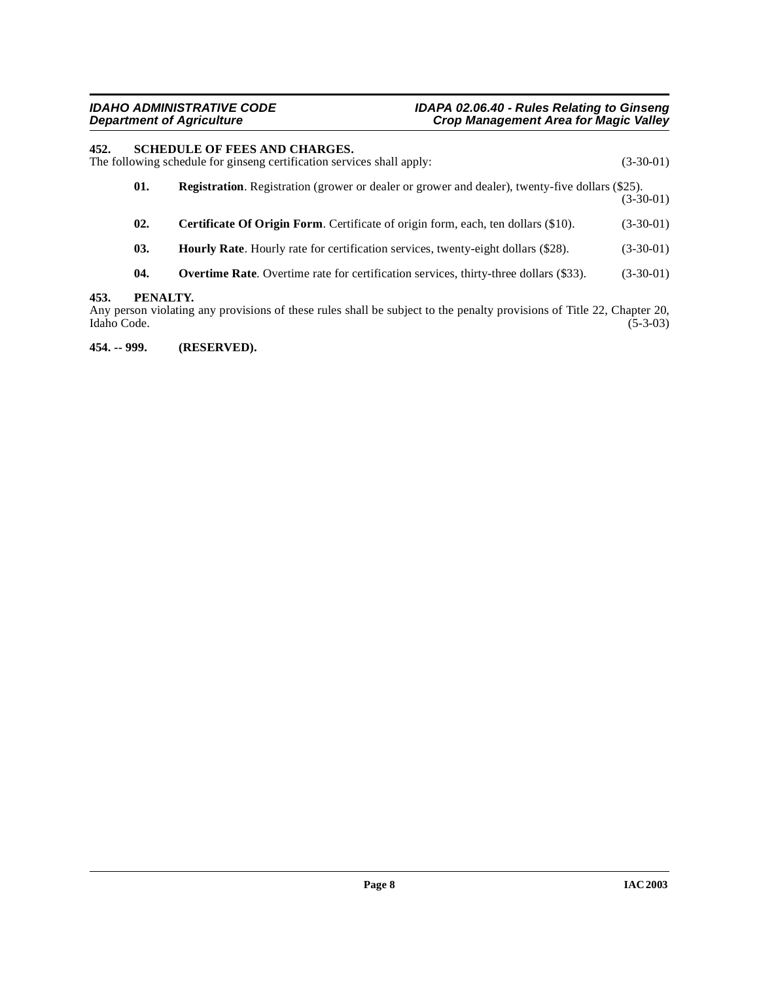#### <span id="page-7-0"></span>**452. SCHEDULE OF FEES AND CHARGES.**

The following schedule for ginseng certification services shall apply: (3-30-01)

<span id="page-7-7"></span><span id="page-7-6"></span><span id="page-7-5"></span><span id="page-7-4"></span><span id="page-7-3"></span>

| 01. | <b>Registration.</b> Registration (grower or dealer or grower and dealer), twenty-five dollars (\$25). | $(3-30-01)$ |
|-----|--------------------------------------------------------------------------------------------------------|-------------|
| 02. | <b>Certificate Of Origin Form.</b> Certificate of origin form, each, ten dollars (\$10).               | $(3-30-01)$ |
| 03. | <b>Hourly Rate.</b> Hourly rate for certification services, twenty-eight dollars (\$28).               | $(3-30-01)$ |
| 04. | <b>Overtime Rate.</b> Overtime rate for certification services, thirty-three dollars (\$33).           | $(3-30-01)$ |

#### <span id="page-7-1"></span>**453. PENALTY.**

Any person violating any provisions of these rules shall be subject to the penalty provisions of Title 22, Chapter 20, Idaho Code. (5-3-03) Idaho Code. (5-3-03)

<span id="page-7-2"></span>**454. -- 999. (RESERVED).**